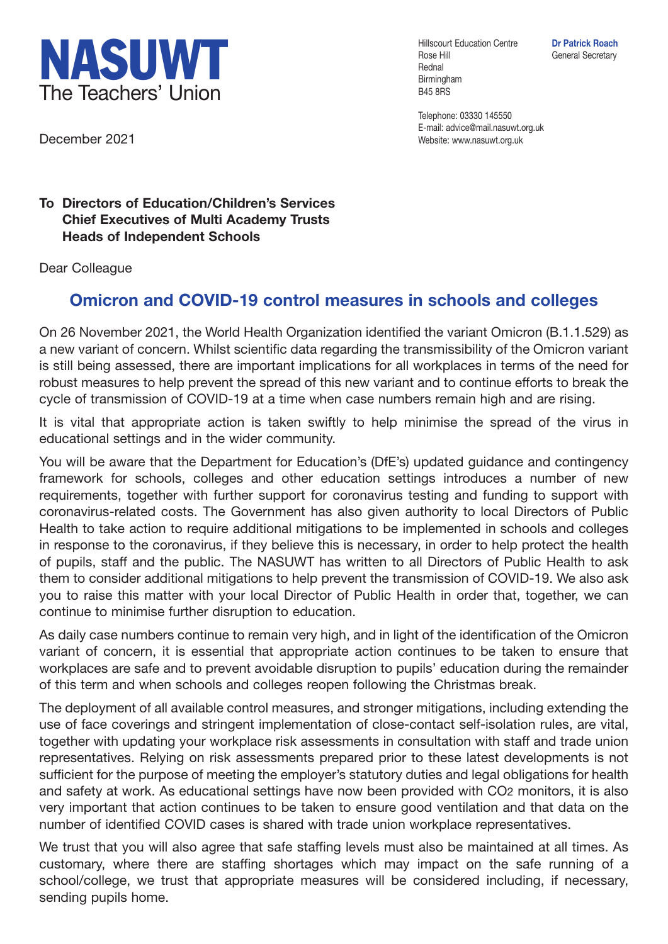

December 2021

Hillscourt Education Centre **Dr Patrick Roach** Rose Hill General Secretary Rednal Birmingham B45 8RS

Telephone: 03330 145550 E-mail: advice@mail.nasuwt.org.uk Website: www.nasuwt.org.uk

## **To Directors of Education/Children's Services Chief Executives of Multi Academy Trusts Heads of Independent Schools**

Dear Colleague

## **Omicron and COVID-19 control measures in schools and colleges**

On 26 November 2021, the World Health Organization identified the variant Omicron (B.1.1.529) as a new variant of concern. Whilst scientific data regarding the transmissibility of the Omicron variant is still being assessed, there are important implications for all workplaces in terms of the need for robust measures to help prevent the spread of this new variant and to continue efforts to break the cycle of transmission of COVID-19 at a time when case numbers remain high and are rising.

It is vital that appropriate action is taken swiftly to help minimise the spread of the virus in educational settings and in the wider community.

You will be aware that the Department for Education's (DfE's) updated guidance and contingency framework for schools, colleges and other education settings introduces a number of new requirements, together with further support for coronavirus testing and funding to support with coronavirus-related costs. The Government has also given authority to local Directors of Public Health to take action to require additional mitigations to be implemented in schools and colleges in response to the coronavirus, if they believe this is necessary, in order to help protect the health of pupils, staff and the public. The NASUWT has written to all Directors of Public Health to ask them to consider additional mitigations to help prevent the transmission of COVID-19. We also ask you to raise this matter with your local Director of Public Health in order that, together, we can continue to minimise further disruption to education.

As daily case numbers continue to remain very high, and in light of the identification of the Omicron variant of concern, it is essential that appropriate action continues to be taken to ensure that workplaces are safe and to prevent avoidable disruption to pupils' education during the remainder of this term and when schools and colleges reopen following the Christmas break.

The deployment of all available control measures, and stronger mitigations, including extending the use of face coverings and stringent implementation of close-contact self-isolation rules, are vital, together with updating your workplace risk assessments in consultation with staff and trade union representatives. Relying on risk assessments prepared prior to these latest developments is not sufficient for the purpose of meeting the employer's statutory duties and legal obligations for health and safety at work. As educational settings have now been provided with CO2 monitors, it is also very important that action continues to be taken to ensure good ventilation and that data on the number of identified COVID cases is shared with trade union workplace representatives.

We trust that you will also agree that safe staffing levels must also be maintained at all times. As customary, where there are staffing shortages which may impact on the safe running of a school/college, we trust that appropriate measures will be considered including, if necessary, sending pupils home.